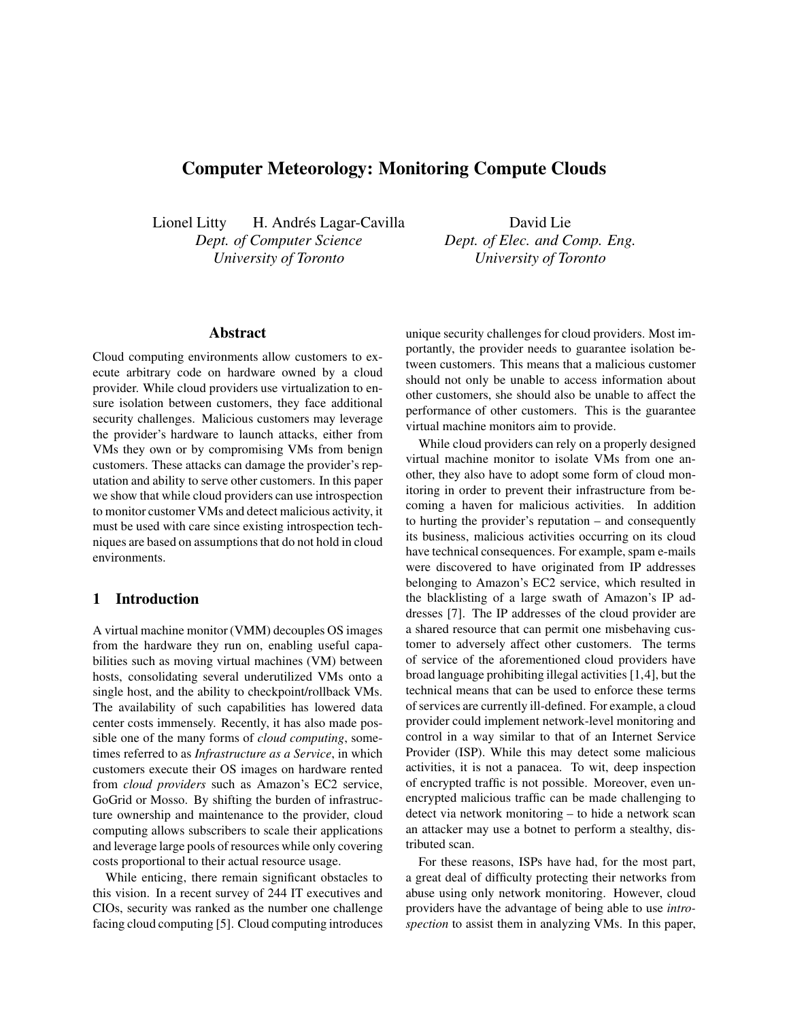# **Computer Meteorology: Monitoring Compute Clouds**

Lionel Litty H. Andrés Lagar-Cavilla *Dept. of Computer Science University of Toronto*

David Lie *Dept. of Elec. and Comp. Eng. University of Toronto*

## **Abstract**

Cloud computing environments allow customers to execute arbitrary code on hardware owned by a cloud provider. While cloud providers use virtualization to ensure isolation between customers, they face additional security challenges. Malicious customers may leverage the provider's hardware to launch attacks, either from VMs they own or by compromising VMs from benign customers. These attacks can damage the provider's reputation and ability to serve other customers. In this paper we show that while cloud providers can use introspection to monitor customer VMs and detect malicious activity, it must be used with care since existing introspection techniques are based on assumptions that do not hold in cloud environments.

## **1 Introduction**

A virtual machine monitor (VMM) decouples OS images from the hardware they run on, enabling useful capabilities such as moving virtual machines (VM) between hosts, consolidating several underutilized VMs onto a single host, and the ability to checkpoint/rollback VMs. The availability of such capabilities has lowered data center costs immensely. Recently, it has also made possible one of the many forms of *cloud computing*, sometimes referred to as *Infrastructure as a Service*, in which customers execute their OS images on hardware rented from *cloud providers* such as Amazon's EC2 service, GoGrid or Mosso. By shifting the burden of infrastructure ownership and maintenance to the provider, cloud computing allows subscribers to scale their applications and leverage large pools of resources while only covering costs proportional to their actual resource usage.

While enticing, there remain significant obstacles to this vision. In a recent survey of 244 IT executives and CIOs, security was ranked as the number one challenge facing cloud computing [5]. Cloud computing introduces unique security challenges for cloud providers. Most importantly, the provider needs to guarantee isolation between customers. This means that a malicious customer should not only be unable to access information about other customers, she should also be unable to affect the performance of other customers. This is the guarantee virtual machine monitors aim to provide.

While cloud providers can rely on a properly designed virtual machine monitor to isolate VMs from one another, they also have to adopt some form of cloud monitoring in order to prevent their infrastructure from becoming a haven for malicious activities. In addition to hurting the provider's reputation – and consequently its business, malicious activities occurring on its cloud have technical consequences. For example, spam e-mails were discovered to have originated from IP addresses belonging to Amazon's EC2 service, which resulted in the blacklisting of a large swath of Amazon's IP addresses [7]. The IP addresses of the cloud provider are a shared resource that can permit one misbehaving customer to adversely affect other customers. The terms of service of the aforementioned cloud providers have broad language prohibiting illegal activities [1,4], but the technical means that can be used to enforce these terms of services are currently ill-defined. For example, a cloud provider could implement network-level monitoring and control in a way similar to that of an Internet Service Provider (ISP). While this may detect some malicious activities, it is not a panacea. To wit, deep inspection of encrypted traffic is not possible. Moreover, even unencrypted malicious traffic can be made challenging to detect via network monitoring – to hide a network scan an attacker may use a botnet to perform a stealthy, distributed scan.

For these reasons, ISPs have had, for the most part, a great deal of difficulty protecting their networks from abuse using only network monitoring. However, cloud providers have the advantage of being able to use *introspection* to assist them in analyzing VMs. In this paper,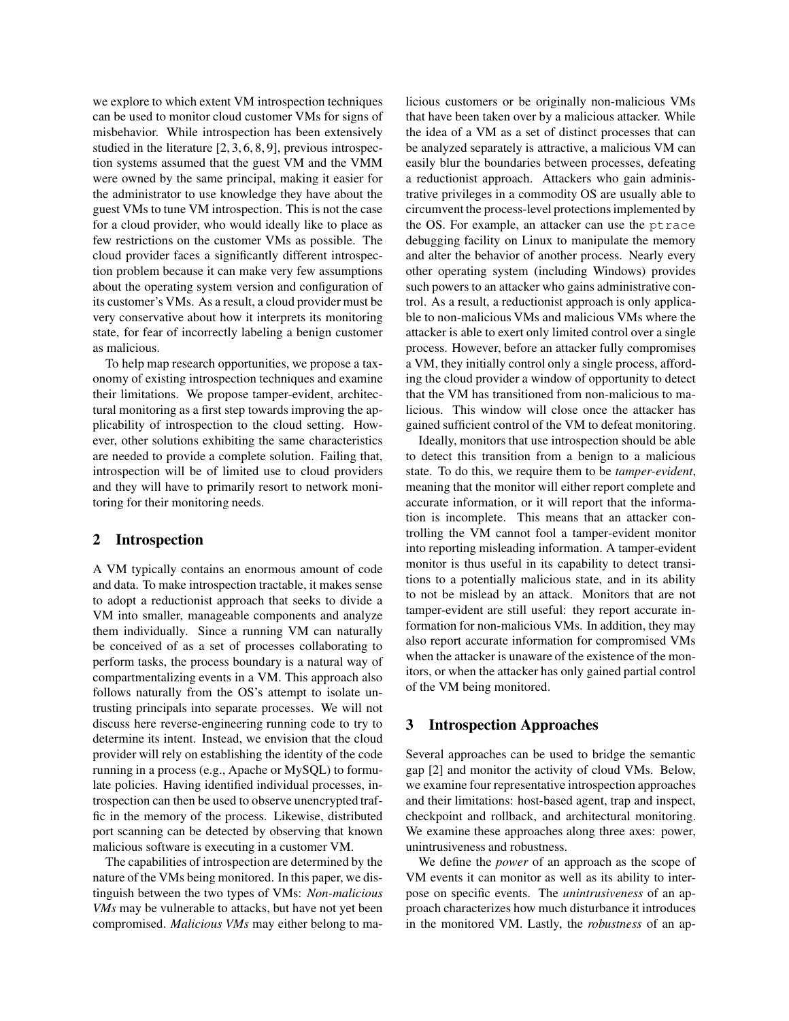we explore to which extent VM introspection techniques can be used to monitor cloud customer VMs for signs of misbehavior. While introspection has been extensively studied in the literature [2, 3, 6, 8, 9], previous introspection systems assumed that the guest VM and the VMM were owned by the same principal, making it easier for the administrator to use knowledge they have about the guest VMs to tune VM introspection. This is not the case for a cloud provider, who would ideally like to place as few restrictions on the customer VMs as possible. The cloud provider faces a significantly different introspection problem because it can make very few assumptions about the operating system version and configuration of its customer's VMs. As a result, a cloud provider must be very conservative about how it interprets its monitoring state, for fear of incorrectly labeling a benign customer as malicious.

To help map research opportunities, we propose a taxonomy of existing introspection techniques and examine their limitations. We propose tamper-evident, architectural monitoring as a first step towards improving the applicability of introspection to the cloud setting. However, other solutions exhibiting the same characteristics are needed to provide a complete solution. Failing that, introspection will be of limited use to cloud providers and they will have to primarily resort to network monitoring for their monitoring needs.

### **2 Introspection**

A VM typically contains an enormous amount of code and data. To make introspection tractable, it makes sense to adopt a reductionist approach that seeks to divide a VM into smaller, manageable components and analyze them individually. Since a running VM can naturally be conceived of as a set of processes collaborating to perform tasks, the process boundary is a natural way of compartmentalizing events in a VM. This approach also follows naturally from the OS's attempt to isolate untrusting principals into separate processes. We will not discuss here reverse-engineering running code to try to determine its intent. Instead, we envision that the cloud provider will rely on establishing the identity of the code running in a process (e.g., Apache or MySQL) to formulate policies. Having identified individual processes, introspection can then be used to observe unencrypted traffic in the memory of the process. Likewise, distributed port scanning can be detected by observing that known malicious software is executing in a customer VM.

The capabilities of introspection are determined by the nature of the VMs being monitored. In this paper, we distinguish between the two types of VMs: *Non-malicious VMs* may be vulnerable to attacks, but have not yet been compromised. *Malicious VMs* may either belong to malicious customers or be originally non-malicious VMs that have been taken over by a malicious attacker. While the idea of a VM as a set of distinct processes that can be analyzed separately is attractive, a malicious VM can easily blur the boundaries between processes, defeating a reductionist approach. Attackers who gain administrative privileges in a commodity OS are usually able to circumvent the process-level protections implemented by the OS. For example, an attacker can use the ptrace debugging facility on Linux to manipulate the memory and alter the behavior of another process. Nearly every other operating system (including Windows) provides such powers to an attacker who gains administrative control. As a result, a reductionist approach is only applicable to non-malicious VMs and malicious VMs where the attacker is able to exert only limited control over a single process. However, before an attacker fully compromises a VM, they initially control only a single process, affording the cloud provider a window of opportunity to detect that the VM has transitioned from non-malicious to malicious. This window will close once the attacker has gained sufficient control of the VM to defeat monitoring.

Ideally, monitors that use introspection should be able to detect this transition from a benign to a malicious state. To do this, we require them to be *tamper-evident*, meaning that the monitor will either report complete and accurate information, or it will report that the information is incomplete. This means that an attacker controlling the VM cannot fool a tamper-evident monitor into reporting misleading information. A tamper-evident monitor is thus useful in its capability to detect transitions to a potentially malicious state, and in its ability to not be mislead by an attack. Monitors that are not tamper-evident are still useful: they report accurate information for non-malicious VMs. In addition, they may also report accurate information for compromised VMs when the attacker is unaware of the existence of the monitors, or when the attacker has only gained partial control of the VM being monitored.

#### **3 Introspection Approaches**

Several approaches can be used to bridge the semantic gap [2] and monitor the activity of cloud VMs. Below, we examine four representative introspection approaches and their limitations: host-based agent, trap and inspect, checkpoint and rollback, and architectural monitoring. We examine these approaches along three axes: power, unintrusiveness and robustness.

We define the *power* of an approach as the scope of VM events it can monitor as well as its ability to interpose on specific events. The *unintrusiveness* of an approach characterizes how much disturbance it introduces in the monitored VM. Lastly, the *robustness* of an ap-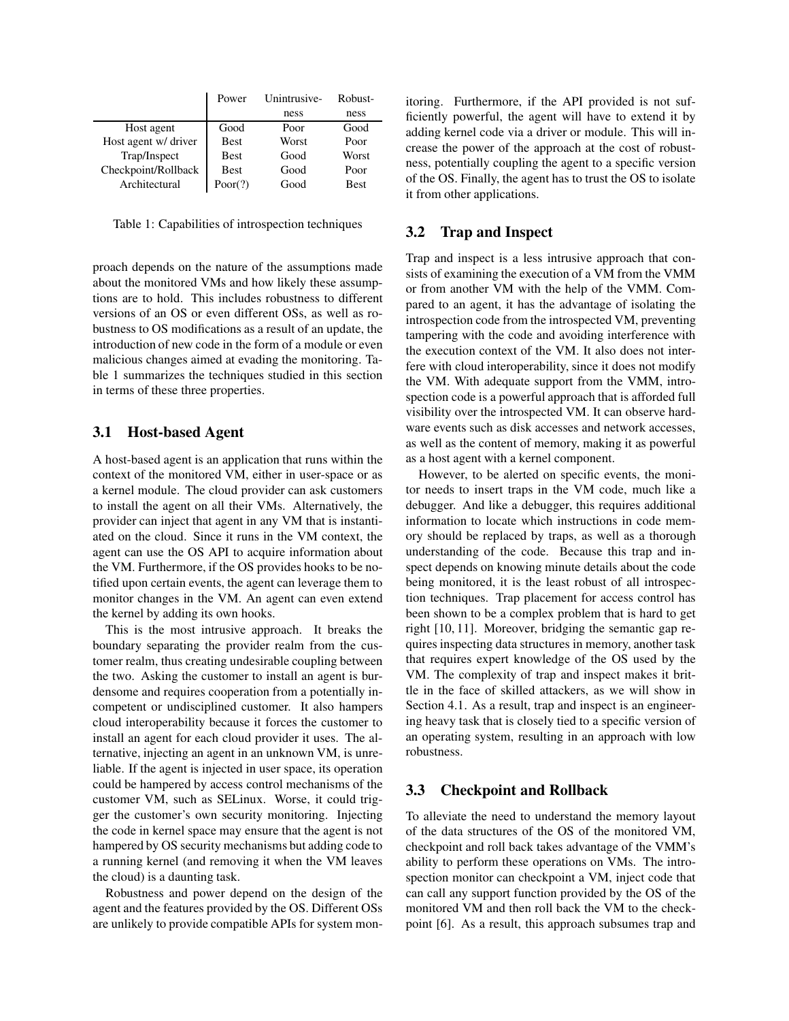|                      | Power       | Unintrusive- | Robust-     |
|----------------------|-------------|--------------|-------------|
|                      |             | ness         | ness        |
| Host agent           | Good        | Poor         | Good        |
| Host agent w/ driver | <b>Best</b> | Worst        | Poor        |
| Trap/Inspect         | <b>Best</b> | Good         | Worst       |
| Checkpoint/Rollback  | <b>Best</b> | Good         | Poor        |
| Architectural        | Poor(?)     | Good         | <b>Best</b> |

Table 1: Capabilities of introspection techniques

proach depends on the nature of the assumptions made about the monitored VMs and how likely these assumptions are to hold. This includes robustness to different versions of an OS or even different OSs, as well as robustness to OS modifications as a result of an update, the introduction of new code in the form of a module or even malicious changes aimed at evading the monitoring. Table 1 summarizes the techniques studied in this section in terms of these three properties.

## **3.1 Host-based Agent**

A host-based agent is an application that runs within the context of the monitored VM, either in user-space or as a kernel module. The cloud provider can ask customers to install the agent on all their VMs. Alternatively, the provider can inject that agent in any VM that is instantiated on the cloud. Since it runs in the VM context, the agent can use the OS API to acquire information about the VM. Furthermore, if the OS provides hooks to be notified upon certain events, the agent can leverage them to monitor changes in the VM. An agent can even extend the kernel by adding its own hooks.

This is the most intrusive approach. It breaks the boundary separating the provider realm from the customer realm, thus creating undesirable coupling between the two. Asking the customer to install an agent is burdensome and requires cooperation from a potentially incompetent or undisciplined customer. It also hampers cloud interoperability because it forces the customer to install an agent for each cloud provider it uses. The alternative, injecting an agent in an unknown VM, is unreliable. If the agent is injected in user space, its operation could be hampered by access control mechanisms of the customer VM, such as SELinux. Worse, it could trigger the customer's own security monitoring. Injecting the code in kernel space may ensure that the agent is not hampered by OS security mechanisms but adding code to a running kernel (and removing it when the VM leaves the cloud) is a daunting task.

Robustness and power depend on the design of the agent and the features provided by the OS. Different OSs are unlikely to provide compatible APIs for system monitoring. Furthermore, if the API provided is not sufficiently powerful, the agent will have to extend it by adding kernel code via a driver or module. This will increase the power of the approach at the cost of robustness, potentially coupling the agent to a specific version of the OS. Finally, the agent has to trust the OS to isolate it from other applications.

### **3.2 Trap and Inspect**

Trap and inspect is a less intrusive approach that consists of examining the execution of a VM from the VMM or from another VM with the help of the VMM. Compared to an agent, it has the advantage of isolating the introspection code from the introspected VM, preventing tampering with the code and avoiding interference with the execution context of the VM. It also does not interfere with cloud interoperability, since it does not modify the VM. With adequate support from the VMM, introspection code is a powerful approach that is afforded full visibility over the introspected VM. It can observe hardware events such as disk accesses and network accesses, as well as the content of memory, making it as powerful as a host agent with a kernel component.

However, to be alerted on specific events, the monitor needs to insert traps in the VM code, much like a debugger. And like a debugger, this requires additional information to locate which instructions in code memory should be replaced by traps, as well as a thorough understanding of the code. Because this trap and inspect depends on knowing minute details about the code being monitored, it is the least robust of all introspection techniques. Trap placement for access control has been shown to be a complex problem that is hard to get right [10, 11]. Moreover, bridging the semantic gap requires inspecting data structures in memory, another task that requires expert knowledge of the OS used by the VM. The complexity of trap and inspect makes it brittle in the face of skilled attackers, as we will show in Section 4.1. As a result, trap and inspect is an engineering heavy task that is closely tied to a specific version of an operating system, resulting in an approach with low robustness.

## **3.3 Checkpoint and Rollback**

To alleviate the need to understand the memory layout of the data structures of the OS of the monitored VM, checkpoint and roll back takes advantage of the VMM's ability to perform these operations on VMs. The introspection monitor can checkpoint a VM, inject code that can call any support function provided by the OS of the monitored VM and then roll back the VM to the checkpoint [6]. As a result, this approach subsumes trap and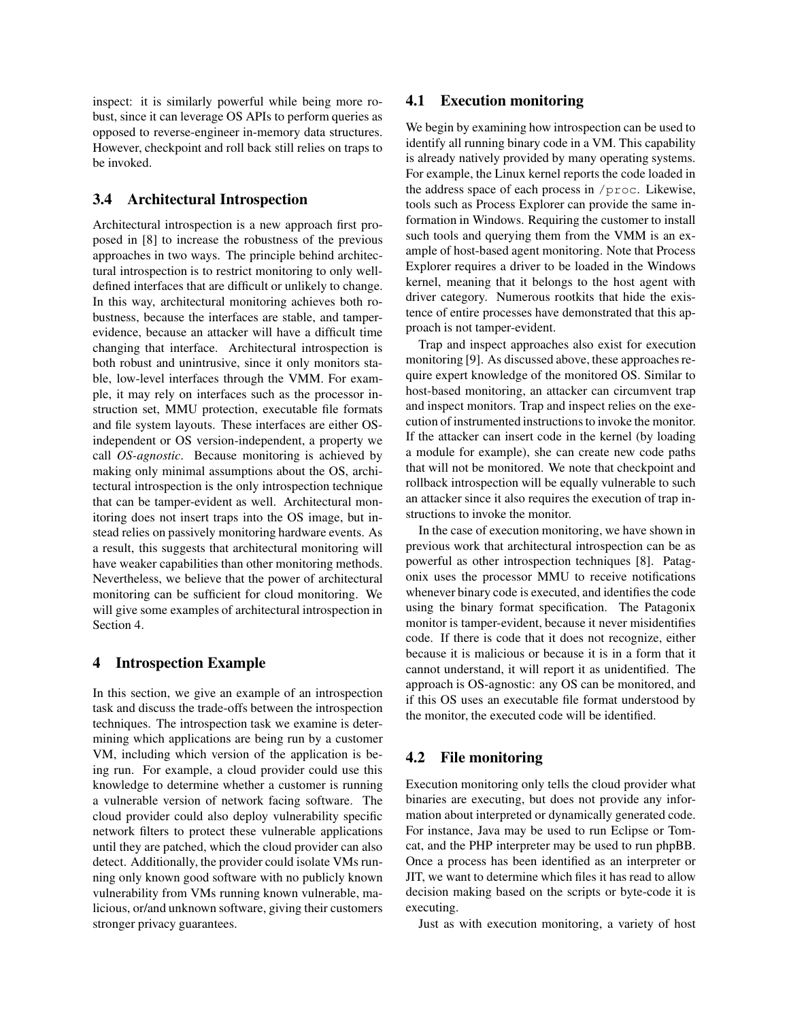inspect: it is similarly powerful while being more robust, since it can leverage OS APIs to perform queries as opposed to reverse-engineer in-memory data structures. However, checkpoint and roll back still relies on traps to be invoked.

## **3.4 Architectural Introspection**

Architectural introspection is a new approach first proposed in [8] to increase the robustness of the previous approaches in two ways. The principle behind architectural introspection is to restrict monitoring to only welldefined interfaces that are difficult or unlikely to change. In this way, architectural monitoring achieves both robustness, because the interfaces are stable, and tamperevidence, because an attacker will have a difficult time changing that interface. Architectural introspection is both robust and unintrusive, since it only monitors stable, low-level interfaces through the VMM. For example, it may rely on interfaces such as the processor instruction set, MMU protection, executable file formats and file system layouts. These interfaces are either OSindependent or OS version-independent, a property we call *OS-agnostic*. Because monitoring is achieved by making only minimal assumptions about the OS, architectural introspection is the only introspection technique that can be tamper-evident as well. Architectural monitoring does not insert traps into the OS image, but instead relies on passively monitoring hardware events. As a result, this suggests that architectural monitoring will have weaker capabilities than other monitoring methods. Nevertheless, we believe that the power of architectural monitoring can be sufficient for cloud monitoring. We will give some examples of architectural introspection in Section 4.

## **4 Introspection Example**

In this section, we give an example of an introspection task and discuss the trade-offs between the introspection techniques. The introspection task we examine is determining which applications are being run by a customer VM, including which version of the application is being run. For example, a cloud provider could use this knowledge to determine whether a customer is running a vulnerable version of network facing software. The cloud provider could also deploy vulnerability specific network filters to protect these vulnerable applications until they are patched, which the cloud provider can also detect. Additionally, the provider could isolate VMs running only known good software with no publicly known vulnerability from VMs running known vulnerable, malicious, or/and unknown software, giving their customers stronger privacy guarantees.

### **4.1 Execution monitoring**

We begin by examining how introspection can be used to identify all running binary code in a VM. This capability is already natively provided by many operating systems. For example, the Linux kernel reports the code loaded in the address space of each process in /proc. Likewise, tools such as Process Explorer can provide the same information in Windows. Requiring the customer to install such tools and querying them from the VMM is an example of host-based agent monitoring. Note that Process Explorer requires a driver to be loaded in the Windows kernel, meaning that it belongs to the host agent with driver category. Numerous rootkits that hide the existence of entire processes have demonstrated that this approach is not tamper-evident.

Trap and inspect approaches also exist for execution monitoring [9]. As discussed above, these approaches require expert knowledge of the monitored OS. Similar to host-based monitoring, an attacker can circumvent trap and inspect monitors. Trap and inspect relies on the execution of instrumented instructions to invoke the monitor. If the attacker can insert code in the kernel (by loading a module for example), she can create new code paths that will not be monitored. We note that checkpoint and rollback introspection will be equally vulnerable to such an attacker since it also requires the execution of trap instructions to invoke the monitor.

In the case of execution monitoring, we have shown in previous work that architectural introspection can be as powerful as other introspection techniques [8]. Patagonix uses the processor MMU to receive notifications whenever binary code is executed, and identifies the code using the binary format specification. The Patagonix monitor is tamper-evident, because it never misidentifies code. If there is code that it does not recognize, either because it is malicious or because it is in a form that it cannot understand, it will report it as unidentified. The approach is OS-agnostic: any OS can be monitored, and if this OS uses an executable file format understood by the monitor, the executed code will be identified.

## **4.2 File monitoring**

Execution monitoring only tells the cloud provider what binaries are executing, but does not provide any information about interpreted or dynamically generated code. For instance, Java may be used to run Eclipse or Tomcat, and the PHP interpreter may be used to run phpBB. Once a process has been identified as an interpreter or JIT, we want to determine which files it has read to allow decision making based on the scripts or byte-code it is executing.

Just as with execution monitoring, a variety of host